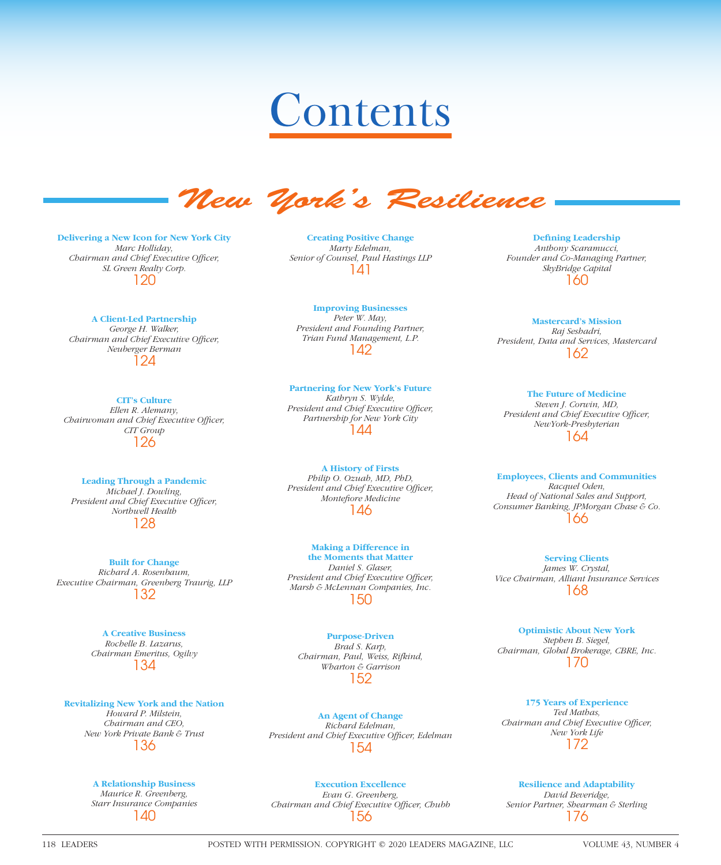# Contents



**Delivering a New Icon for New York City** *Marc Holliday, Chairman and Chief Executive Officer, SL Green Realty Corp.* 120

#### **A Client-Led Partnership**

*George H. Walker, Chairman and Chief Executive Officer, Neuberger Berman* 124

#### **CIT's Culture**

*Ellen R. Alemany, Chairwoman and Chief Executive Officer, CIT Group* 126

#### **Leading Through a Pandemic**

*Michael J. Dowling, President and Chief Executive Officer, Northwell Health* 128

**Built for Change** *Richard A. Rosenbaum, Executive Chairman, Greenberg Traurig, LLP* 132

> **A Creative Business** *Rochelle B. Lazarus, Chairman Emeritus, Ogilvy* 134

**Revitalizing New York and the Nation**

*Howard P. Milstein, Chairman and CEO, New York Private Bank & Trust* 136

# **A Relationship Business**

*Maurice R. Greenberg, Starr Insurance Companies* 140

**Creating Positive Change** *Marty Edelman, Senior of Counsel, Paul Hastings LLP* 141

**Improving Businesses** *Peter W. May, President and Founding Partner, Trian Fund Management, L.P.* 142

#### **Partnering for New York's Future** *Kathryn S. Wylde,*

*President and Chief Executive Officer, Partnership for New York City* 144

#### **A History of Firsts** *Philip O. Ozuah, MD, PhD, President and Chief Executive Officer, Montefiore* Medicine 146

**Making a Difference in the Moments that Matter** *Daniel S. Glaser, President and Chief Executive Officer, Marsh & McLennan Companies, Inc.* 150

**Purpose-Driven** *Brad S. Karp, Chairman, Paul, Weiss, Rifkind, Wharton & Garrison* 152

**An Agent of Change** *Richard Edelman,*  President and Chief Executive Officer, Edelman 154

# **Execution Excellence**

*Evan G. Greenberg, Chairman and Chief Executive Officer, Chubb* 156

**Defining Leadership** *Anthony Scaramucci, Founder and Co-Managing Partner, SkyBridge Capital* 160

**Mastercard's Mission** *Raj Seshadri, President, Data and Services, Mastercard* 162

> **The Future of Medicine** *Steven J. Corwin, MD,*

*President and Chief Executive Officer, NewYork-Presbyterian* 164

#### **Employees, Clients and Communities**

*Racquel Oden, Head of National Sales and Support, Consumer Banking, JPMorgan Chase & Co.* 166

**Serving Clients** *James W. Crystal, Vice Chairman, Alliant Insurance Services* 168

**Optimistic About New York** *Stephen B. Siegel, Chairman, Global Brokerage, CBRE, Inc.* 170

**175 Years of Experience** *Ted Mathas, Chairman and Chief Executive Officer, New York Life* 172

**Resilience and Adaptability** *David Beveridge, Senior Partner, Shearman & Sterling* 176

118 LEADERS POSTED WITH PERMISSION. COPYRIGHT © 2020 LEADERS MAGAZINE, LLC VOLUME 43, NUMBER 4